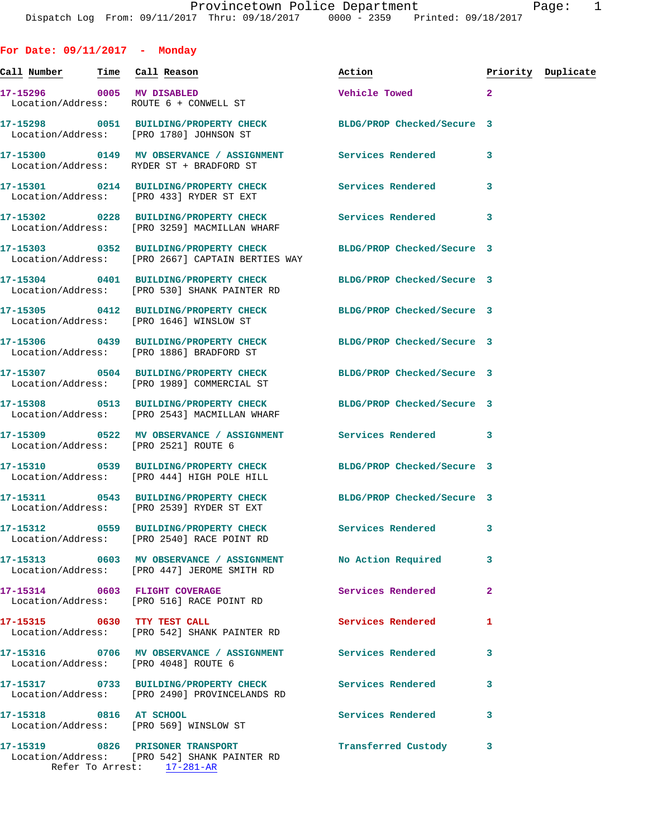**For Date: 09/11/2017 - Monday Call Number Time Call Reason Action Priority Duplicate 17-15296 0005 MV DISABLED Vehicle Towed 2**  Location/Address: ROUTE 6 + CONWELL ST **17-15298 0051 BUILDING/PROPERTY CHECK BLDG/PROP Checked/Secure 3**  Location/Address: [PRO 1780] JOHNSON ST **17-15300 0149 MV OBSERVANCE / ASSIGNMENT Services Rendered 3**  Location/Address: RYDER ST + BRADFORD ST **17-15301 0214 BUILDING/PROPERTY CHECK Services Rendered 3**  Location/Address: [PRO 433] RYDER ST EXT **17-15302 0228 BUILDING/PROPERTY CHECK Services Rendered 3**  Location/Address: [PRO 3259] MACMILLAN WHARF **17-15303 0352 BUILDING/PROPERTY CHECK BLDG/PROP Checked/Secure 3**  Location/Address: [PRO 2667] CAPTAIN BERTIES WAY **17-15304 0401 BUILDING/PROPERTY CHECK BLDG/PROP Checked/Secure 3**  Location/Address: [PRO 530] SHANK PAINTER RD **17-15305 0412 BUILDING/PROPERTY CHECK BLDG/PROP Checked/Secure 3**  Location/Address: [PRO 1646] WINSLOW ST **17-15306 0439 BUILDING/PROPERTY CHECK BLDG/PROP Checked/Secure 3**  Location/Address: [PRO 1886] BRADFORD ST **17-15307 0504 BUILDING/PROPERTY CHECK BLDG/PROP Checked/Secure 3**  Location/Address: [PRO 1989] COMMERCIAL ST **17-15308 0513 BUILDING/PROPERTY CHECK BLDG/PROP Checked/Secure 3**  Location/Address: [PRO 2543] MACMILLAN WHARF **17-15309 0522 MV OBSERVANCE / ASSIGNMENT Services Rendered 3**  Location/Address: [PRO 2521] ROUTE 6 **17-15310 0539 BUILDING/PROPERTY CHECK BLDG/PROP Checked/Secure 3**  Location/Address: [PRO 444] HIGH POLE HILL **17-15311 0543 BUILDING/PROPERTY CHECK BLDG/PROP Checked/Secure 3**  Location/Address: [PRO 2539] RYDER ST EXT **17-15312 0559 BUILDING/PROPERTY CHECK Services Rendered 3**  Location/Address: [PRO 2540] RACE POINT RD **17-15313 0603 MV OBSERVANCE / ASSIGNMENT No Action Required 3**  Location/Address: [PRO 447] JEROME SMITH RD **17-15314 0603 FLIGHT COVERAGE Services Rendered 2**  Location/Address: [PRO 516] RACE POINT RD **17-15315 0630 TTY TEST CALL Services Rendered 1**  Location/Address: [PRO 542] SHANK PAINTER RD **17-15316 0706 MV OBSERVANCE / ASSIGNMENT Services Rendered 3**  Location/Address: [PRO 4048] ROUTE 6

**17-15317 0733 BUILDING/PROPERTY CHECK Services Rendered 3**  Location/Address: [PRO 2490] PROVINCELANDS RD **17-15318 0816 AT SCHOOL Services Rendered 3**  Location/Address: [PRO 569] WINSLOW ST **17-15319 0826 PRISONER TRANSPORT Transferred Custody 3** 

 Location/Address: [PRO 542] SHANK PAINTER RD Refer To Arrest: 17-281-AR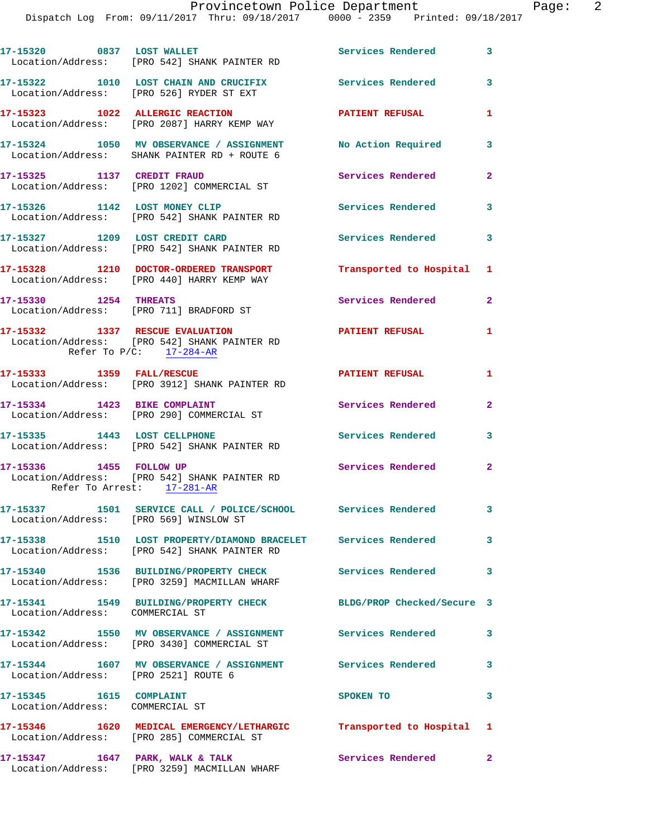|                                                                  | 17-15320 0837 LOST WALLET<br>Location/Address: [PRO 542] SHANK PAINTER RD                                        | Services Rendered 3       |                         |
|------------------------------------------------------------------|------------------------------------------------------------------------------------------------------------------|---------------------------|-------------------------|
|                                                                  | 17-15322 1010 LOST CHAIN AND CRUCIFIX<br>Location/Address: [PRO 526] RYDER ST EXT                                | Services Rendered         | 3                       |
|                                                                  | 17-15323 1022 ALLERGIC REACTION<br>Location/Address: [PRO 2087] HARRY KEMP WAY                                   | <b>PATIENT REFUSAL</b>    | $\mathbf{1}$            |
|                                                                  | 17-15324 1050 MV OBSERVANCE / ASSIGNMENT<br>Location/Address: SHANK PAINTER RD + ROUTE 6                         | No Action Required        | 3                       |
| 17-15325 1137 CREDIT FRAUD                                       | Location/Address: [PRO 1202] COMMERCIAL ST                                                                       | Services Rendered         | $\mathbf{2}$            |
|                                                                  | 17-15326 1142 LOST MONEY CLIP<br>Location/Address: [PRO 542] SHANK PAINTER RD                                    | <b>Services Rendered</b>  | $\overline{\mathbf{3}}$ |
|                                                                  | 17-15327 1209 LOST CREDIT CARD<br>Location/Address: [PRO 542] SHANK PAINTER RD                                   | <b>Services Rendered</b>  | 3                       |
|                                                                  | 17-15328 1210 DOCTOR-ORDERED TRANSPORT<br>Location/Address: [PRO 440] HARRY KEMP WAY                             | Transported to Hospital 1 |                         |
|                                                                  | 17-15330 1254 THREATS<br>Location/Address: [PRO 711] BRADFORD ST                                                 | Services Rendered         | $\overline{a}$          |
|                                                                  | 17-15332 1337 RESCUE EVALUATION<br>Location/Address: [PRO 542] SHANK PAINTER RD<br>Refer To $P/C$ : 17-284-AR    | PATIENT REFUSAL           | $\mathbf{1}$            |
|                                                                  | 17-15333 1359 FALL/RESCUE<br>Location/Address: [PRO 3912] SHANK PAINTER RD                                       | <b>PATIENT REFUSAL</b>    | $\mathbf{1}$            |
| 17-15334 1423 BIKE COMPLAINT                                     | Location/Address: [PRO 290] COMMERCIAL ST                                                                        | Services Rendered         | $\mathbf{2}$            |
|                                                                  | 17-15335 1443 LOST CELLPHONE<br>Location/Address: [PRO 542] SHANK PAINTER RD                                     | <b>Services Rendered</b>  | 3                       |
| 17-15336 1455 FOLLOW UP                                          | Location/Address: [PRO 542] SHANK PAINTER RD<br>Refer To Arrest: 17-281-AR                                       | Services Rendered 2       |                         |
|                                                                  | 17-15337 1501 SERVICE CALL / POLICE/SCHOOL Services Rendered<br>Location/Address: [PRO 569] WINSLOW ST           |                           | 3                       |
|                                                                  | 17-15338 1510 LOST PROPERTY/DIAMOND BRACELET Services Rendered 3<br>Location/Address: [PRO 542] SHANK PAINTER RD |                           |                         |
|                                                                  | 17-15340 1536 BUILDING/PROPERTY CHECK<br>Location/Address: [PRO 3259] MACMILLAN WHARF                            | <b>Services Rendered</b>  | 3                       |
| Location/Address: COMMERCIAL ST                                  | 17-15341 1549 BUILDING/PROPERTY CHECK BLDG/PROP Checked/Secure 3                                                 |                           |                         |
|                                                                  | 17-15342 1550 MV OBSERVANCE / ASSIGNMENT Services Rendered<br>Location/Address: [PRO 3430] COMMERCIAL ST         |                           | 3                       |
|                                                                  | 17-15344 1607 MV OBSERVANCE / ASSIGNMENT Services Rendered<br>Location/Address: [PRO 2521] ROUTE 6               |                           | 3                       |
| 17-15345    1615    COMPLAINT<br>Location/Address: COMMERCIAL ST |                                                                                                                  | SPOKEN TO                 | 3                       |
|                                                                  | 17-15346 1620 MEDICAL EMERGENCY/LETHARGIC Transported to Hospital 1<br>Location/Address: [PRO 285] COMMERCIAL ST |                           |                         |
|                                                                  | 17-15347 1647 PARK, WALK & TALK<br>Location/Address: [PRO 3259] MACMILLAN WHARF                                  | Services Rendered 2       |                         |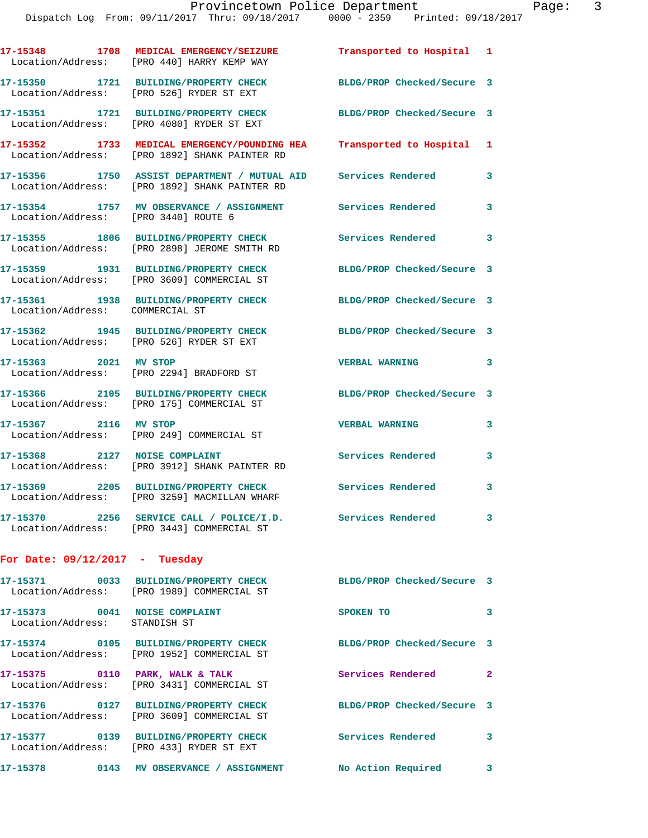|                                                                | 17-15348 1708 MEDICAL EMERGENCY/SEIZURE<br>Location/Address: [PRO 440] HARRY KEMP WAY         | Transported to Hospital 1  |              |
|----------------------------------------------------------------|-----------------------------------------------------------------------------------------------|----------------------------|--------------|
|                                                                | 17-15350 1721 BUILDING/PROPERTY CHECK<br>Location/Address: [PRO 526] RYDER ST EXT             | BLDG/PROP Checked/Secure 3 |              |
|                                                                | 17-15351 1721 BUILDING/PROPERTY CHECK<br>Location/Address: [PRO 4080] RYDER ST EXT            | BLDG/PROP Checked/Secure 3 |              |
|                                                                | 17-15352 1733 MEDICAL EMERGENCY/POUNDING HEA<br>Location/Address: [PRO 1892] SHANK PAINTER RD | Transported to Hospital 1  |              |
|                                                                | 17-15356 1750 ASSIST DEPARTMENT / MUTUAL AID<br>Location/Address: [PRO 1892] SHANK PAINTER RD | <b>Services Rendered</b>   | 3            |
| Location/Address: [PRO 3440] ROUTE 6                           | 17-15354 1757 MV OBSERVANCE / ASSIGNMENT                                                      | Services Rendered          | 3            |
| Location/Address:                                              | 17-15355 1806 BUILDING/PROPERTY CHECK<br>[PRO 2898] JEROME SMITH RD                           | <b>Services Rendered</b>   | 3            |
|                                                                | 17-15359 1931 BUILDING/PROPERTY CHECK<br>Location/Address: [PRO 3609] COMMERCIAL ST           | BLDG/PROP Checked/Secure 3 |              |
| Location/Address: COMMERCIAL ST                                | 17-15361 1938 BUILDING/PROPERTY CHECK                                                         | BLDG/PROP Checked/Secure 3 |              |
|                                                                | 17-15362 1945 BUILDING/PROPERTY CHECK<br>Location/Address: [PRO 526] RYDER ST EXT             | BLDG/PROP Checked/Secure 3 |              |
| 17-15363 2021 MV STOP                                          | Location/Address: [PRO 2294] BRADFORD ST                                                      | <b>VERBAL WARNING</b>      | 3            |
|                                                                | 17-15366 2105 BUILDING/PROPERTY CHECK<br>Location/Address: [PRO 175] COMMERCIAL ST            | BLDG/PROP Checked/Secure 3 |              |
| 17-15367 2116 MV STOP                                          | Location/Address: [PRO 249] COMMERCIAL ST                                                     | <b>VERBAL WARNING</b>      | 3            |
| 17-15368                                                       | 2127 NOISE COMPLAINT<br>Location/Address: [PRO 3912] SHANK PAINTER RD                         | Services Rendered          | 3            |
|                                                                | 17-15369 2205 BUILDING/PROPERTY CHECK<br>Location/Address: [PRO 3259] MACMILLAN WHARF         | Services Rendered          | 3            |
|                                                                | 17-15370 2256 SERVICE CALL / POLICE/I.D.<br>Location/Address: [PRO 3443] COMMERCIAL ST        | Services Rendered          |              |
| For Date: $09/12/2017$ - Tuesday                               |                                                                                               |                            |              |
|                                                                | Location/Address: [PRO 1989] COMMERCIAL ST                                                    | BLDG/PROP Checked/Secure 3 |              |
| 17-15373 0041 NOISE COMPLAINT<br>Location/Address: STANDISH ST |                                                                                               | SPOKEN TO                  | 3            |
|                                                                | 17-15374 0105 BUILDING/PROPERTY CHECK<br>Location/Address: [PRO 1952] COMMERCIAL ST           | BLDG/PROP Checked/Secure 3 |              |
|                                                                | 17-15375 0110 PARK, WALK & TALK<br>Location/Address: [PRO 3431] COMMERCIAL ST                 | Services Rendered          | $\mathbf{2}$ |
|                                                                | 17-15376 0127 BUILDING/PROPERTY CHECK<br>Location/Address: [PRO 3609] COMMERCIAL ST           | BLDG/PROP Checked/Secure 3 |              |

**17-15377 0139 BUILDING/PROPERTY CHECK Services Rendered 3** 

**17-15378 0143 MV OBSERVANCE / ASSIGNMENT No Action Required 3** 

Location/Address: [PRO 433] RYDER ST EXT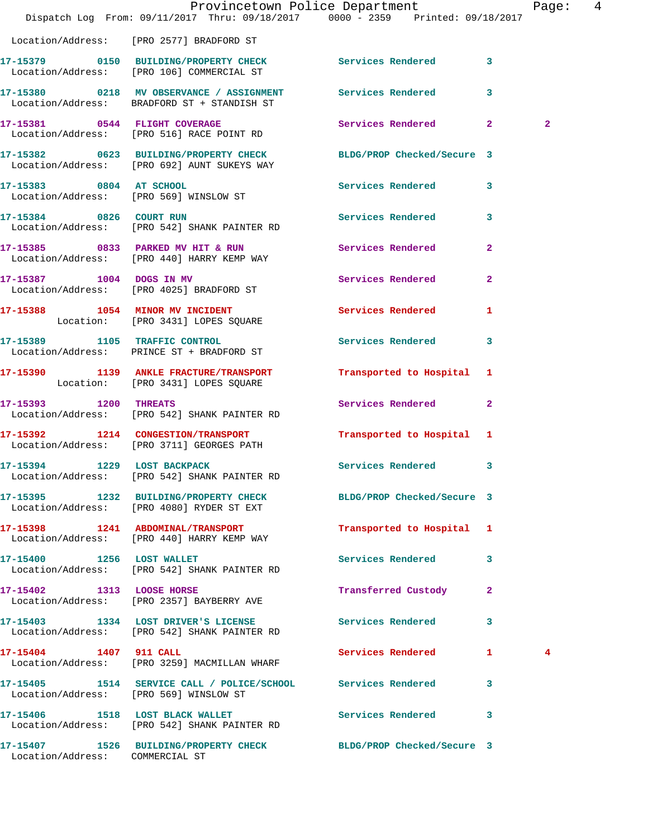|                                 | Provincetown Police Department Page: 4<br>Dispatch Log From: 09/11/2017 Thru: 09/18/2017 0000 - 2359 Printed: 09/18/2017 |                           |              |  |
|---------------------------------|--------------------------------------------------------------------------------------------------------------------------|---------------------------|--------------|--|
|                                 | Location/Address: [PRO 2577] BRADFORD ST                                                                                 |                           |              |  |
|                                 | 17-15379 0150 BUILDING/PROPERTY CHECK Services Rendered 3<br>Location/Address: [PRO 106] COMMERCIAL ST                   |                           |              |  |
|                                 | 17-15380 0218 MV OBSERVANCE / ASSIGNMENT Services Rendered 3<br>Location/Address: BRADFORD ST + STANDISH ST              |                           |              |  |
|                                 | 17-15381 0544 FLIGHT COVERAGE<br>Location/Address: [PRO 516] RACE POINT RD                                               | Services Rendered 2       | $\mathbf{2}$ |  |
|                                 | 17-15382 0623 BUILDING/PROPERTY CHECK BLDG/PROP Checked/Secure 3<br>Location/Address: [PRO 692] AUNT SUKEYS WAY          |                           |              |  |
|                                 | 17-15383 0804 AT SCHOOL<br>Location/Address: [PRO 569] WINSLOW ST                                                        | Services Rendered 3       |              |  |
|                                 | 17-15384 0826 COURT RUN<br>Location/Address: [PRO 542] SHANK PAINTER RD                                                  | Services Rendered 3       |              |  |
|                                 | 17-15385 0833 PARKED MV HIT & RUN Services Rendered 2<br>Location/Address: [PRO 440] HARRY KEMP WAY                      |                           |              |  |
|                                 | 17-15387 1004 DOGS IN MV<br>Location/Address: [PRO 4025] BRADFORD ST                                                     | Services Rendered 2       |              |  |
|                                 | 17-15388 1054 MINOR MV INCIDENT Services Rendered 1<br>Location: [PRO 3431] LOPES SQUARE                                 |                           |              |  |
|                                 | 17-15389 1105 TRAFFIC CONTROL<br>Location/Address: PRINCE ST + BRADFORD ST                                               | Services Rendered 3       |              |  |
|                                 | 17-15390 1139 ANKLE FRACTURE/TRANSPORT<br>Location: [PRO 3431] LOPES SQUARE                                              | Transported to Hospital 1 |              |  |
|                                 | 17-15393 1200 THREATS<br>Location/Address: [PRO 542] SHANK PAINTER RD                                                    | Services Rendered 2       |              |  |
|                                 | 17-15392 1214 CONGESTION/TRANSPORT<br>Location/Address: [PRO 3711] GEORGES PATH                                          | Transported to Hospital 1 |              |  |
| 17-15394 1229 LOST BACKPACK     | Location/Address: [PRO 542] SHANK PAINTER RD                                                                             | Services Rendered 3       |              |  |
|                                 | 17-15395 1232 BUILDING/PROPERTY CHECK BLDG/PROP Checked/Secure 3<br>Location/Address: [PRO 4080] RYDER ST EXT            |                           |              |  |
|                                 | 17-15398 1241 ABDOMINAL/TRANSPORT<br>Location/Address: [PRO 440] HARRY KEMP WAY                                          | Transported to Hospital 1 |              |  |
|                                 | 17-15400 1256 LOST WALLET<br>Location/Address: [PRO 542] SHANK PAINTER RD                                                | Services Rendered 3       |              |  |
|                                 | 17-15402 1313 LOOSE HORSE<br>Location/Address: [PRO 2357] BAYBERRY AVE                                                   | Transferred Custody 2     |              |  |
|                                 | 17-15403 1334 LOST DRIVER'S LICENSE Services Rendered 3<br>Location/Address: [PRO 542] SHANK PAINTER RD                  |                           |              |  |
|                                 | 17-15404 1407 911 CALL<br>Location/Address: [PRO 3259] MACMILLAN WHARF                                                   | Services Rendered 1       | 4            |  |
|                                 | 17-15405 1514 SERVICE CALL / POLICE/SCHOOL Services Rendered 3<br>Location/Address: [PRO 569] WINSLOW ST                 |                           |              |  |
|                                 | 17-15406 1518 LOST BLACK WALLET<br>Location/Address: [PRO 542] SHANK PAINTER RD                                          | Services Rendered 3       |              |  |
| Location/Address: COMMERCIAL ST | 17-15407 1526 BUILDING/PROPERTY CHECK BLDG/PROP Checked/Secure 3                                                         |                           |              |  |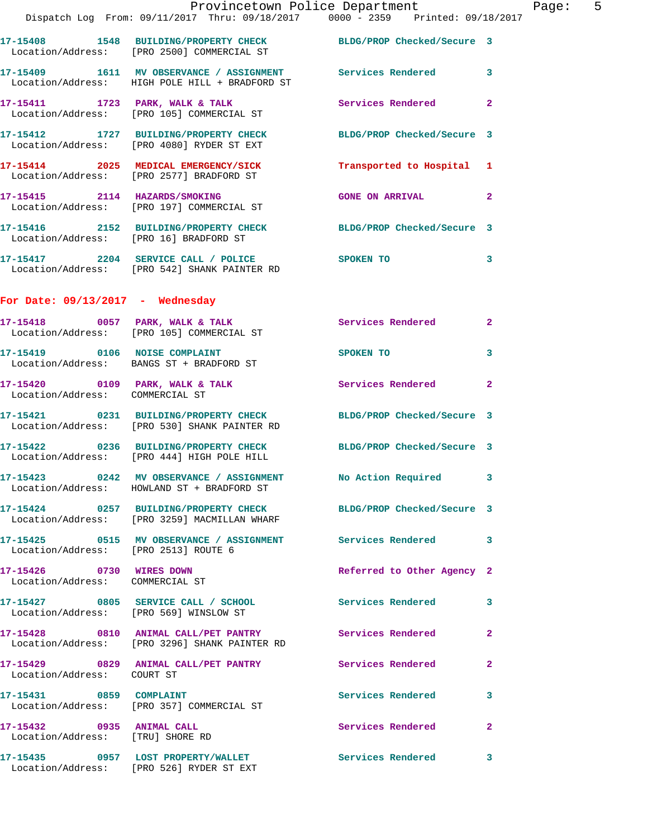|                                                               | Provincetown Police Department<br>Dispatch Log From: 09/11/2017 Thru: 09/18/2017 0000 - 2359 Printed: 09/18/2017 |                            |                |
|---------------------------------------------------------------|------------------------------------------------------------------------------------------------------------------|----------------------------|----------------|
|                                                               | 17-15408 1548 BUILDING/PROPERTY CHECK BLDG/PROP Checked/Secure 3<br>Location/Address: [PRO 2500] COMMERCIAL ST   |                            |                |
|                                                               | 17-15409 1611 MV OBSERVANCE / ASSIGNMENT Services Rendered<br>Location/Address: HIGH POLE HILL + BRADFORD ST     |                            | 3              |
|                                                               | 17-15411 1723 PARK, WALK & TALK 1999 Services Rendered<br>Location/Address: [PRO 105] COMMERCIAL ST              |                            | $\mathbf{2}$   |
|                                                               | 17-15412 1727 BUILDING/PROPERTY CHECK BLDG/PROP Checked/Secure 3<br>Location/Address: [PRO 4080] RYDER ST EXT    |                            |                |
|                                                               | 17-15414 2025 MEDICAL EMERGENCY/SICK Transported to Hospital 1<br>Location/Address: [PRO 2577] BRADFORD ST       |                            |                |
|                                                               | 17-15415 2114 HAZARDS/SMOKING<br>Location/Address: [PRO 197] COMMERCIAL ST                                       | <b>GONE ON ARRIVAL</b>     | $\overline{a}$ |
|                                                               | 17-15416 2152 BUILDING/PROPERTY CHECK BLDG/PROP Checked/Secure 3<br>Location/Address: [PRO 16] BRADFORD ST       |                            |                |
|                                                               | 17-15417 2204 SERVICE CALL / POLICE SPOKEN TO<br>Location/Address: [PRO 542] SHANK PAINTER RD                    |                            | 3              |
| For Date: $09/13/2017$ - Wednesday                            |                                                                                                                  |                            |                |
|                                                               | $17-15418$ 0057 PARK, WALK & TALK<br>Location/Address: [PRO 105] COMMERCIAL ST                                   | <b>Services Rendered</b>   | $\mathbf{2}$   |
|                                                               | 17-15419 0106 NOISE COMPLAINT<br>Location/Address: BANGS ST + BRADFORD ST                                        | <b>SPOKEN TO</b>           | 3              |
| Location/Address: COMMERCIAL ST                               | 17-15420 0109 PARK, WALK & TALK Services Rendered                                                                |                            | $\mathbf{2}$   |
|                                                               | 17-15421 0231 BUILDING/PROPERTY CHECK BLDG/PROP Checked/Secure 3<br>Location/Address: [PRO 530] SHANK PAINTER RD |                            |                |
|                                                               | 17-15422 0236 BUILDING/PROPERTY CHECK BLDG/PROP Checked/Secure 3<br>Location/Address: [PRO 444] HIGH POLE HILL   |                            |                |
|                                                               | 17-15423 0242 MV OBSERVANCE / ASSIGNMENT<br>Location/Address: HOWLAND ST + BRADFORD ST                           | No Action Required         | 3              |
|                                                               | 17-15424 0257 BUILDING/PROPERTY CHECK BLDG/PROP Checked/Secure 3<br>Location/Address: [PRO 3259] MACMILLAN WHARF |                            |                |
| Location/Address: [PRO 2513] ROUTE 6                          | 17-15425 0515 MV OBSERVANCE / ASSIGNMENT Services Rendered                                                       |                            | 3              |
| 17-15426 0730 WIRES DOWN<br>Location/Address: COMMERCIAL ST   |                                                                                                                  | Referred to Other Agency 2 |                |
|                                                               | 17-15427 0805 SERVICE CALL / SCHOOL<br>Location/Address: [PRO 569] WINSLOW ST                                    | Services Rendered          | 3              |
|                                                               | 17-15428 0810 ANIMAL CALL/PET PANTRY<br>Location/Address: [PRO 3296] SHANK PAINTER RD                            | Services Rendered          | $\mathbf{2}$   |
| Location/Address: COURT ST                                    |                                                                                                                  | Services Rendered          | $\mathbf{2}$   |
| 17-15431 0859 COMPLAINT                                       | Location/Address: [PRO 357] COMMERCIAL ST                                                                        | <b>Services Rendered</b>   | 3              |
| 17-15432 0935 ANIMAL CALL<br>Location/Address: [TRU] SHORE RD |                                                                                                                  | Services Rendered          | $\mathbf{2}$   |

**17-15435 0957 LOST PROPERTY/WALLET Services Rendered 3** 

Location/Address: [PRO 526] RYDER ST EXT

Page:  $5$ <br>017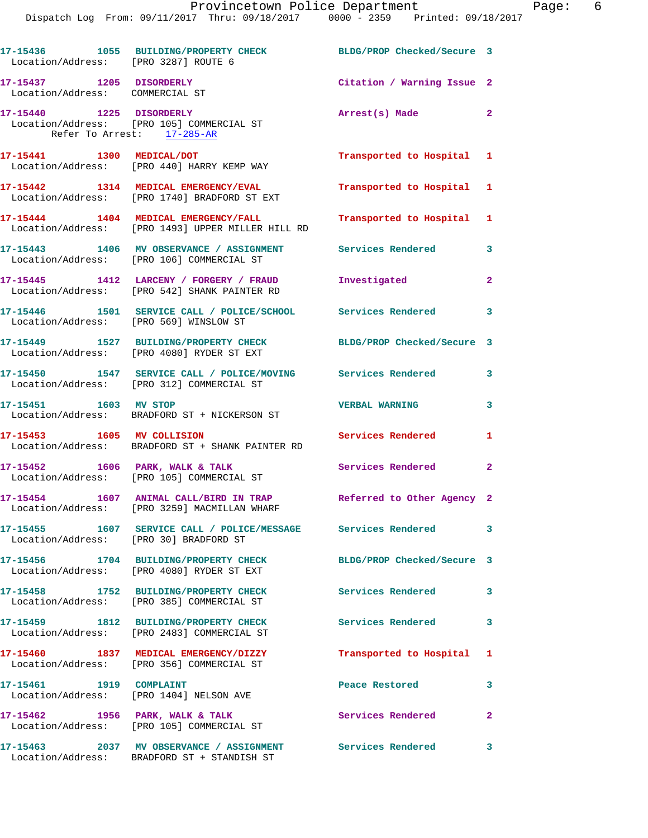| Location/Address: [PRO 3287] ROUTE 6                        | 17-15436 1055 BUILDING/PROPERTY CHECK                                                                             | BLDG/PROP Checked/Secure 3 |                         |
|-------------------------------------------------------------|-------------------------------------------------------------------------------------------------------------------|----------------------------|-------------------------|
| 17-15437 1205 DISORDERLY<br>Location/Address: COMMERCIAL ST |                                                                                                                   | Citation / Warning Issue 2 |                         |
| Refer To Arrest: 17-285-AR                                  | 17-15440 1225 DISORDERLY<br>Location/Address: [PRO 105] COMMERCIAL ST                                             | Arrest(s) Made 2           |                         |
| 17-15441 1300 MEDICAL/DOT                                   | Location/Address: [PRO 440] HARRY KEMP WAY                                                                        | Transported to Hospital 1  |                         |
|                                                             | 17-15442 1314 MEDICAL EMERGENCY/EVAL<br>Location/Address: [PRO 1740] BRADFORD ST EXT                              | Transported to Hospital 1  |                         |
|                                                             | 17-15444 1404 MEDICAL EMERGENCY/FALL<br>Location/Address: [PRO 1493] UPPER MILLER HILL RD                         | Transported to Hospital 1  |                         |
|                                                             | 17-15443 1406 MV OBSERVANCE / ASSIGNMENT<br>Location/Address: [PRO 106] COMMERCIAL ST                             | <b>Services Rendered</b>   | 3                       |
|                                                             | 17-15445    1412 LARCENY / FORGERY / FRAUD<br>Location/Address: [PRO 542] SHANK PAINTER RD                        | Investigated               | $\mathbf{2}$            |
| Location/Address: [PRO 569] WINSLOW ST                      | 17-15446 1501 SERVICE CALL / POLICE/SCHOOL Services Rendered 3                                                    |                            |                         |
|                                                             | 17-15449 1527 BUILDING/PROPERTY CHECK<br>Location/Address: [PRO 4080] RYDER ST EXT                                | BLDG/PROP Checked/Secure 3 |                         |
|                                                             | 17-15450 1547 SERVICE CALL / POLICE/MOVING Services Rendered<br>Location/Address: [PRO 312] COMMERCIAL ST         |                            | 3                       |
| 17-15451 1603 MV STOP                                       | Location/Address: BRADFORD ST + NICKERSON ST                                                                      | <b>VERBAL WARNING</b>      | 3                       |
| 17-15453 1605 MV COLLISION                                  | Location/Address: BRADFORD ST + SHANK PAINTER RD                                                                  | Services Rendered          | $\mathbf{1}$            |
|                                                             | 17-15452 1606 PARK, WALK & TALK<br>Location/Address: [PRO 105] COMMERCIAL ST                                      | Services Rendered          | $\mathbf{2}$            |
|                                                             | 17-15454 1607 ANIMAL CALL/BIRD IN TRAP Referred to Other Agency 2<br>Location/Address: [PRO 3259] MACMILLAN WHARF |                            |                         |
| Location/Address: [PRO 30] BRADFORD ST                      | 17-15455 1607 SERVICE CALL / POLICE/MESSAGE Services Rendered                                                     |                            | $\overline{\mathbf{3}}$ |
|                                                             | 17-15456 1704 BUILDING/PROPERTY CHECK<br>Location/Address: [PRO 4080] RYDER ST EXT                                | BLDG/PROP Checked/Secure 3 |                         |
|                                                             | 17-15458 1752 BUILDING/PROPERTY CHECK<br>Location/Address: [PRO 385] COMMERCIAL ST                                | Services Rendered          | 3                       |
|                                                             | 17-15459 1812 BUILDING/PROPERTY CHECK<br>Location/Address: [PRO 2483] COMMERCIAL ST                               | <b>Services Rendered</b>   | 3                       |
|                                                             | 17-15460 1837 MEDICAL EMERGENCY/DIZZY<br>Location/Address: [PRO 356] COMMERCIAL ST                                | Transported to Hospital 1  |                         |
| 17-15461 1919 COMPLAINT                                     | Location/Address: [PRO 1404] NELSON AVE                                                                           | Peace Restored             | 3                       |
|                                                             | 17-15462 1956 PARK, WALK & TALK<br>Location/Address: [PRO 105] COMMERCIAL ST                                      | Services Rendered          | $\mathbf{2}$            |
|                                                             | 17-15463 2037 MV OBSERVANCE / ASSIGNMENT Services Rendered<br>Location/Address: BRADFORD ST + STANDISH ST         |                            | 3                       |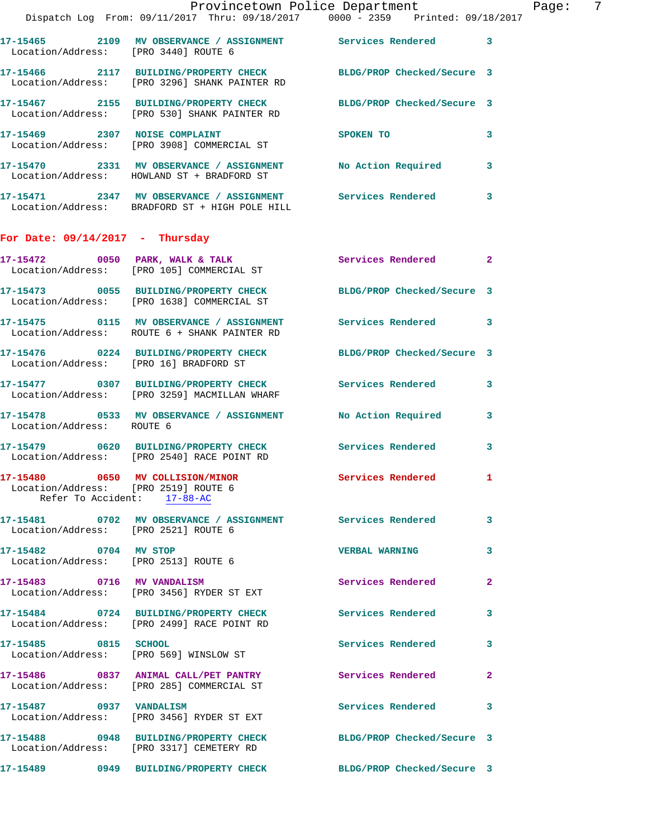|                                                                          |                                                                                                                   | Provincetown Police Department                                                                                 | Page:        | - 7 |
|--------------------------------------------------------------------------|-------------------------------------------------------------------------------------------------------------------|----------------------------------------------------------------------------------------------------------------|--------------|-----|
|                                                                          | Dispatch Log From: 09/11/2017 Thru: 09/18/2017 0000 - 2359 Printed: 09/18/2017                                    |                                                                                                                |              |     |
| Location/Address: [PRO 3440] ROUTE 6                                     | 17-15465 2109 MV OBSERVANCE / ASSIGNMENT Services Rendered 3                                                      |                                                                                                                |              |     |
|                                                                          | 17-15466 2117 BUILDING/PROPERTY CHECK BLDG/PROP Checked/Secure 3<br>Location/Address: [PRO 3296] SHANK PAINTER RD |                                                                                                                |              |     |
|                                                                          | 17-15467 2155 BUILDING/PROPERTY CHECK BLDG/PROP Checked/Secure 3<br>Location/Address: [PRO 530] SHANK PAINTER RD  |                                                                                                                |              |     |
|                                                                          | 17-15469 2307 NOISE COMPLAINT<br>Location/Address: [PRO 3908] COMMERCIAL ST                                       | SPOKEN TO THE STATE OF THE STATE OF THE STATE OF THE STATE OF THE STATE OF THE STATE OF THE STATE OF THE STATE | $\mathbf{3}$ |     |
|                                                                          | 17-15470 2331 MV OBSERVANCE / ASSIGNMENT No Action Required 3<br>Location/Address: HOWLAND ST + BRADFORD ST       |                                                                                                                |              |     |
|                                                                          | 17-15471 2347 MV OBSERVANCE / ASSIGNMENT Services Rendered 3<br>Location/Address: BRADFORD ST + HIGH POLE HILL    |                                                                                                                |              |     |
| For Date: $09/14/2017$ - Thursday                                        |                                                                                                                   |                                                                                                                |              |     |
|                                                                          | 17-15472 0050 PARK, WALK & TALK 3 Services Rendered 2<br>Location/Address: [PRO 105] COMMERCIAL ST                |                                                                                                                |              |     |
|                                                                          | 17-15473 0055 BUILDING/PROPERTY CHECK BLDG/PROP Checked/Secure 3<br>Location/Address: [PRO 1638] COMMERCIAL ST    |                                                                                                                |              |     |
|                                                                          | 17-15475 0115 MV OBSERVANCE / ASSIGNMENT Services Rendered 3<br>Location/Address: ROUTE 6 + SHANK PAINTER RD      |                                                                                                                |              |     |
|                                                                          | 17-15476 0224 BUILDING/PROPERTY CHECK BLDG/PROP Checked/Secure 3<br>Location/Address: [PRO 16] BRADFORD ST        |                                                                                                                |              |     |
|                                                                          | 17-15477 0307 BUILDING/PROPERTY CHECK Services Rendered 3<br>Location/Address: [PRO 3259] MACMILLAN WHARF         |                                                                                                                |              |     |
| Location/Address: ROUTE 6                                                | 17-15478 0533 MV OBSERVANCE / ASSIGNMENT No Action Required 3                                                     |                                                                                                                |              |     |
|                                                                          | 17-15479 0620 BUILDING/PROPERTY CHECK<br>Location/Address: [PRO 2540] RACE POINT RD                               | Services Rendered 3                                                                                            |              |     |
| 17-15480 0650 MV COLLISION/MINOR<br>Location/Address: [PRO 2519] ROUTE 6 | Refer To Accident: $17-88-AC$                                                                                     | Services Rendered 1                                                                                            |              |     |
| Location/Address: [PRO 2521] ROUTE 6                                     | 17-15481 0702 MV OBSERVANCE / ASSIGNMENT Services Rendered                                                        |                                                                                                                | $\mathbf{3}$ |     |
| 17-15482 0704 MV STOP                                                    | Location/Address: [PRO 2513] ROUTE 6                                                                              | <b>VERBAL WARNING</b>                                                                                          | 3            |     |
|                                                                          | 17-15483 0716 MV VANDALISM<br>Location/Address: [PRO 3456] RYDER ST EXT                                           | <b>Services Rendered</b>                                                                                       | $\mathbf{2}$ |     |
|                                                                          | 17-15484 0724 BUILDING/PROPERTY CHECK<br>Location/Address: [PRO 2499] RACE POINT RD                               | <b>Services Rendered</b>                                                                                       | $\mathbf{3}$ |     |
| 17-15485 0815 SCHOOL                                                     | Location/Address: [PRO 569] WINSLOW ST                                                                            | <b>Services Rendered</b>                                                                                       | 3            |     |
|                                                                          | 17-15486 0837 ANIMAL CALL/PET PANTRY<br>Location/Address: [PRO 285] COMMERCIAL ST                                 | Services Rendered                                                                                              | $\mathbf{2}$ |     |
|                                                                          | 17-15487 0937 VANDALISM<br>Location/Address: [PRO 3456] RYDER ST EXT                                              | Services Rendered                                                                                              | 3            |     |
|                                                                          | 17-15488 0948 BUILDING/PROPERTY CHECK<br>Location/Address: [PRO 3317] CEMETERY RD                                 | BLDG/PROP Checked/Secure 3                                                                                     |              |     |
|                                                                          | 17-15489 0949 BUILDING/PROPERTY CHECK BLDG/PROP Checked/Secure 3                                                  |                                                                                                                |              |     |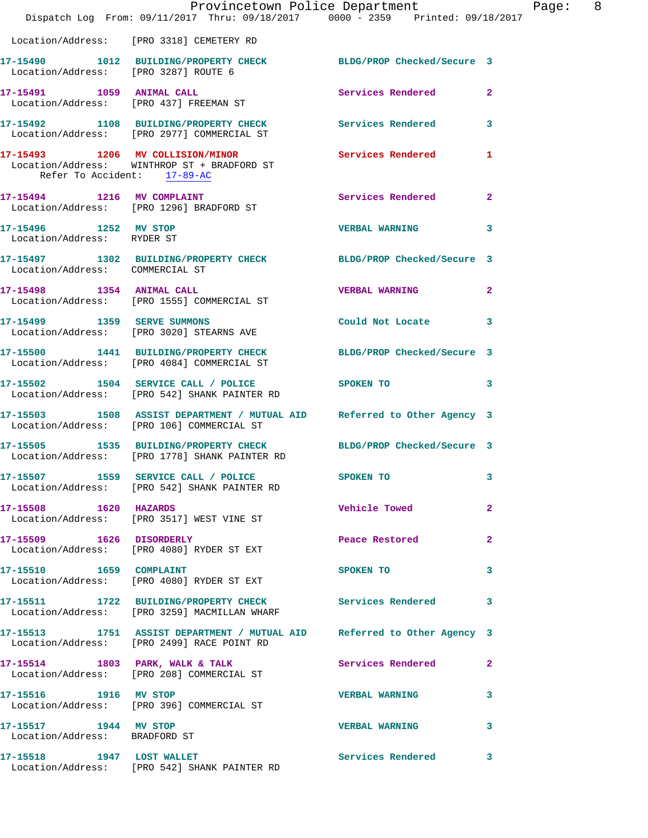|                                                        | Dispatch Log From: 09/11/2017 Thru: 09/18/2017 0000 - 2359 Printed: 09/18/2017                                        | Provincetown Police Department Page: 8 |              |  |
|--------------------------------------------------------|-----------------------------------------------------------------------------------------------------------------------|----------------------------------------|--------------|--|
|                                                        | Location/Address: [PRO 3318] CEMETERY RD                                                                              |                                        |              |  |
| Location/Address: [PRO 3287] ROUTE 6                   | 17-15490 1012 BUILDING/PROPERTY CHECK BLDG/PROP Checked/Secure 3                                                      |                                        |              |  |
|                                                        | 17-15491 1059 ANIMAL CALL<br>Location/Address: [PRO 437] FREEMAN ST                                                   | Services Rendered                      | $\mathbf{2}$ |  |
|                                                        | 17-15492 1108 BUILDING/PROPERTY CHECK Services Rendered<br>Location/Address: [PRO 2977] COMMERCIAL ST                 |                                        | $\mathbf{3}$ |  |
| Refer To Accident: 17-89-AC                            | 17-15493 1206 MV COLLISION/MINOR 1 Services Rendered 1<br>Location/Address: WINTHROP ST + BRADFORD ST                 |                                        |              |  |
|                                                        | 17-15494 1216 MV COMPLAINT<br>Location/Address: [PRO 1296] BRADFORD ST                                                | <b>Services Rendered</b>               | $\mathbf{2}$ |  |
| 17-15496 1252 MV STOP<br>Location/Address: RYDER ST    |                                                                                                                       | <b>VERBAL WARNING</b>                  | 3            |  |
| Location/Address: COMMERCIAL ST                        | 17-15497 1302 BUILDING/PROPERTY CHECK BLDG/PROP Checked/Secure 3                                                      |                                        |              |  |
|                                                        | 17-15498 1354 ANIMAL CALL<br>Location/Address: [PRO 1555] COMMERCIAL ST                                               | <b>VERBAL WARNING</b>                  | $\mathbf{2}$ |  |
|                                                        | 17-15499 1359 SERVE SUMMONS<br>Location/Address: [PRO 3020] STEARNS AVE                                               | Could Not Locate                       | 3            |  |
|                                                        | 17-15500 1441 BUILDING/PROPERTY CHECK BLDG/PROP Checked/Secure 3<br>Location/Address: [PRO 4084] COMMERCIAL ST        |                                        |              |  |
|                                                        | 17-15502 1504 SERVICE CALL / POLICE<br>Location/Address: [PRO 542] SHANK PAINTER RD                                   | SPOKEN TO THE STATE OF THE SPOKEN TO   | 3            |  |
|                                                        | 17-15503 1508 ASSIST DEPARTMENT / MUTUAL AID Referred to Other Agency 3<br>Location/Address: [PRO 106] COMMERCIAL ST  |                                        |              |  |
|                                                        | 17-15505 1535 BUILDING/PROPERTY CHECK BLDG/PROP Checked/Secure 3<br>Location/Address: [PRO 1778] SHANK PAINTER RD     |                                        |              |  |
|                                                        | 17-15507 1559 SERVICE CALL / POLICE<br>Location/Address: [PRO 542] SHANK PAINTER RD                                   | SPOKEN TO                              |              |  |
| 17-15508 1620 HAZARDS                                  | Location/Address: [PRO 3517] WEST VINE ST                                                                             | <b>Vehicle Towed</b>                   | $\mathbf{2}$ |  |
| 17-15509 1626 DISORDERLY                               | Location/Address: [PRO 4080] RYDER ST EXT                                                                             | Peace Restored                         | $\mathbf{2}$ |  |
|                                                        | 17-15510 1659 COMPLAINT<br>Location/Address: [PRO 4080] RYDER ST EXT                                                  | SPOKEN TO                              | 3            |  |
|                                                        | 17-15511 1722 BUILDING/PROPERTY CHECK Services Rendered<br>Location/Address: [PRO 3259] MACMILLAN WHARF               |                                        | $\mathbf{3}$ |  |
|                                                        | 17-15513 1751 ASSIST DEPARTMENT / MUTUAL AID Referred to Other Agency 3<br>Location/Address: [PRO 2499] RACE POINT RD |                                        |              |  |
|                                                        | 17-15514 1803 PARK, WALK & TALK<br>Location/Address: [PRO 208] COMMERCIAL ST                                          | Services Rendered                      | $\mathbf{2}$ |  |
|                                                        | 17-15516 1916 MV STOP<br>Location/Address: [PRO 396] COMMERCIAL ST                                                    | <b>VERBAL WARNING</b>                  | 3            |  |
| 17-15517 1944 MV STOP<br>Location/Address: BRADFORD ST |                                                                                                                       | <b>VERBAL WARNING</b>                  | 3            |  |
|                                                        | 17-15518 1947 LOST WALLET<br>Location/Address: [PRO 542] SHANK PAINTER RD                                             | Services Rendered                      | 3            |  |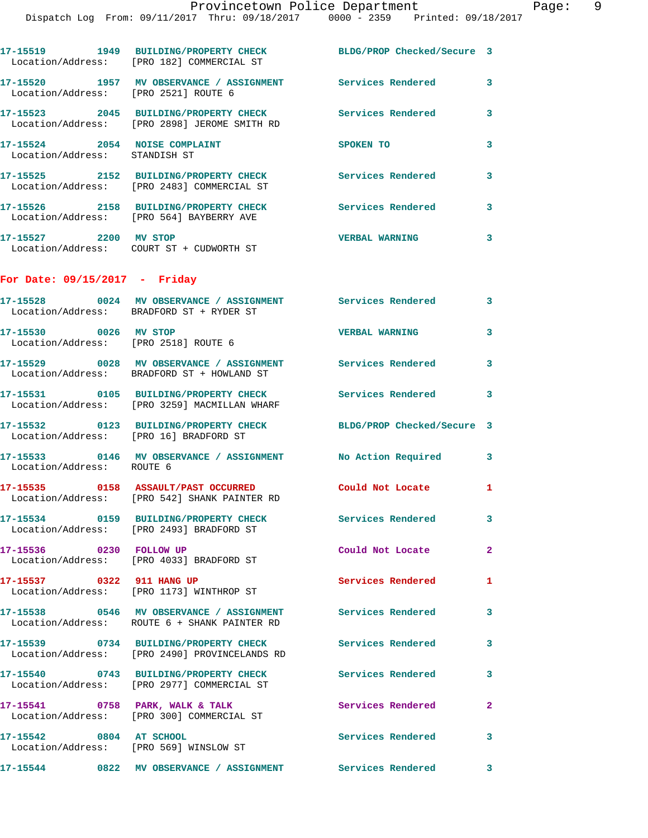|                                                                | Provincetown Police Department<br>Dispatch Log From: 09/11/2017 Thru: 09/18/2017 0000 - 2359 Printed: 09/18/2017 |                          |                         |
|----------------------------------------------------------------|------------------------------------------------------------------------------------------------------------------|--------------------------|-------------------------|
|                                                                | 17-15519 1949 BUILDING/PROPERTY CHECK BLDG/PROP Checked/Secure 3                                                 |                          |                         |
|                                                                | Location/Address: [PRO 182] COMMERCIAL ST<br>17-15520 1957 MV OBSERVANCE / ASSIGNMENT Services Rendered          |                          | 3                       |
| Location/Address: [PRO 2521] ROUTE 6                           |                                                                                                                  |                          |                         |
|                                                                | 17-15523 2045 BUILDING/PROPERTY CHECK Services Rendered<br>Location/Address: [PRO 2898] JEROME SMITH RD          |                          | 3                       |
| 17-15524 2054 NOISE COMPLAINT<br>Location/Address: STANDISH ST |                                                                                                                  | SPOKEN TO                | 3                       |
|                                                                | 17-15525   2152   BUILDING/PROPERTY CHECK   Services Rendered<br>Location/Address: [PRO 2483] COMMERCIAL ST      |                          | 3                       |
|                                                                | 17-15526 2158 BUILDING/PROPERTY CHECK Services Rendered<br>Location/Address: [PRO 564] BAYBERRY AVE              |                          | 3                       |
| 17-15527 2200 MV STOP                                          | Location/Address: COURT ST + CUDWORTH ST                                                                         | <b>VERBAL WARNING</b>    | 3                       |
| For Date: $09/15/2017$ - Friday                                |                                                                                                                  |                          |                         |
|                                                                | 17-15528 0024 MV OBSERVANCE / ASSIGNMENT Services Rendered<br>Location/Address: BRADFORD ST + RYDER ST           |                          | 3                       |
| 17-15530 0026 MV STOP<br>Location/Address: [PRO 2518] ROUTE 6  |                                                                                                                  | <b>VERBAL WARNING</b>    | 3                       |
|                                                                | 17-15529 0028 MV OBSERVANCE / ASSIGNMENT Services Rendered<br>Location/Address: BRADFORD ST + HOWLAND ST         |                          | $\overline{\mathbf{3}}$ |
|                                                                | 17-15531 0105 BUILDING/PROPERTY CHECK Services Rendered<br>Location/Address: [PRO 3259] MACMILLAN WHARF          |                          | 3                       |
| Location/Address: [PRO 16] BRADFORD ST                         | 17-15532 0123 BUILDING/PROPERTY CHECK BLDG/PROP Checked/Secure 3                                                 |                          |                         |
| Location/Address: ROUTE 6                                      | 17-15533 0146 MV OBSERVANCE / ASSIGNMENT No Action Required                                                      |                          | 3                       |
|                                                                | 17-15535 0158 ASSAULT/PAST OCCURRED<br>Location/Address: [PRO 542] SHANK PAINTER RD                              | Could Not Locate         | 1                       |
|                                                                | 17-15534 0159 BUILDING/PROPERTY CHECK Services Rendered<br>Location/Address: [PRO 2493] BRADFORD ST              |                          | 3                       |
| 17-15536 0230 FOLLOW UP                                        | Location/Address: [PRO 4033] BRADFORD ST                                                                         | Could Not Locate         | $\mathbf{2}$            |
| 17-15537 0322 911 HANG UP                                      | Location/Address: [PRO 1173] WINTHROP ST                                                                         | Services Rendered        | 1                       |
|                                                                | 17-15538 0546 MV OBSERVANCE / ASSIGNMENT Services Rendered<br>Location/Address: ROUTE 6 + SHANK PAINTER RD       |                          | 3                       |
|                                                                | 17-15539 0734 BUILDING/PROPERTY CHECK<br>Location/Address: [PRO 2490] PROVINCELANDS RD                           | <b>Services Rendered</b> | 3                       |
|                                                                | 17-15540 0743 BUILDING/PROPERTY CHECK Services Rendered<br>Location/Address: [PRO 2977] COMMERCIAL ST            |                          | 3                       |
|                                                                | 17-15541 0758 PARK, WALK & TALK<br>Location/Address: [PRO 300] COMMERCIAL ST                                     | <b>Services Rendered</b> | $\mathbf{2}$            |
| 17-15542 0804 AT SCHOOL                                        | Location/Address: [PRO 569] WINSLOW ST                                                                           | <b>Services Rendered</b> | 3                       |

**17-15544 0822 MV OBSERVANCE / ASSIGNMENT Services Rendered 3**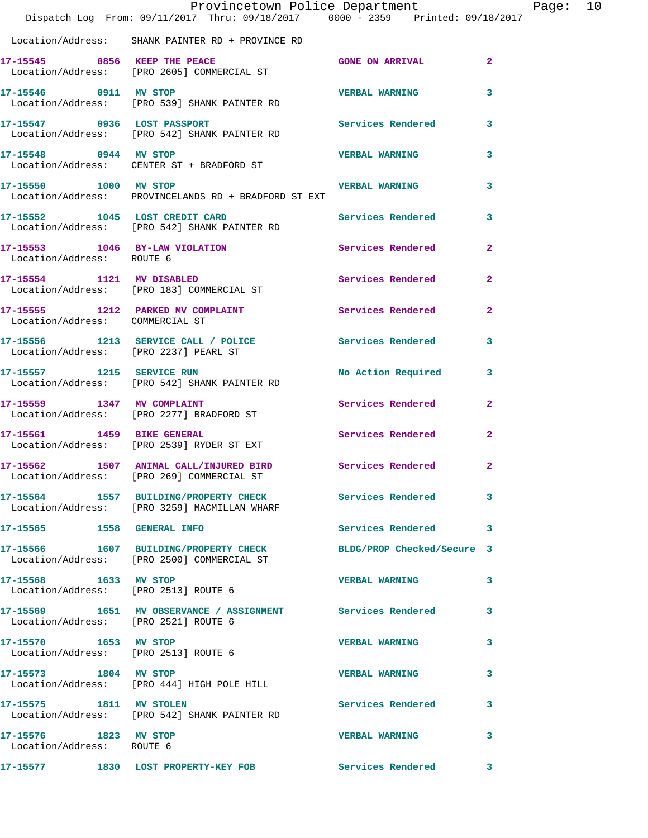|                                                    | Provincetown Police Department<br>Dispatch Log From: 09/11/2017 Thru: 09/18/2017 0000 - 2359 Printed: 09/18/2017 |                       |                         | Page: 10 |  |
|----------------------------------------------------|------------------------------------------------------------------------------------------------------------------|-----------------------|-------------------------|----------|--|
|                                                    | Location/Address: SHANK PAINTER RD + PROVINCE RD                                                                 |                       |                         |          |  |
|                                                    | 17-15545 0856 KEEP THE PEACE 600 GONE ON ARRIVAL 2<br>Location/Address: [PRO 2605] COMMERCIAL ST                 |                       |                         |          |  |
| 17-15546 0911 MV STOP                              | Location/Address: [PRO 539] SHANK PAINTER RD                                                                     | <b>VERBAL WARNING</b> | $\overline{\mathbf{3}}$ |          |  |
|                                                    | 17-15547 0936 LOST PASSPORT<br>Location/Address: [PRO 542] SHANK PAINTER RD                                      | Services Rendered 3   |                         |          |  |
|                                                    | 17-15548 0944 MV STOP<br>Location/Address: CENTER ST + BRADFORD ST                                               | <b>VERBAL WARNING</b> | $\mathbf{3}$            |          |  |
| 17-15550 1000 MV STOP                              | Location/Address: PROVINCELANDS RD + BRADFORD ST EXT                                                             | <b>VERBAL WARNING</b> | $\mathbf{3}$            |          |  |
|                                                    | 17-15552 1045 LOST CREDIT CARD<br>Location/Address: [PRO 542] SHANK PAINTER RD                                   | Services Rendered     | $\mathbf{3}$            |          |  |
| Location/Address: ROUTE 6                          | 17-15553 1046 BY-LAW VIOLATION Services Rendered                                                                 |                       | $\overline{2}$          |          |  |
|                                                    | 17-15554 1121 MV DISABLED<br>Location/Address: [PRO 183] COMMERCIAL ST                                           | Services Rendered     | $\overline{2}$          |          |  |
| Location/Address: COMMERCIAL ST                    | 17-15555 1212 PARKED MV COMPLAINT                                                                                | Services Rendered 2   |                         |          |  |
|                                                    | 17-15556 1213 SERVICE CALL / POLICE Services Rendered 3<br>Location/Address: [PRO 2237] PEARL ST                 |                       |                         |          |  |
|                                                    | 17-15557 1215 SERVICE RUN<br>Location/Address: [PRO 542] SHANK PAINTER RD                                        | No Action Required 3  |                         |          |  |
| 17-15559 1347 MV COMPLAINT                         | Location/Address: [PRO 2277] BRADFORD ST                                                                         | Services Rendered 2   |                         |          |  |
|                                                    | 17-15561 1459 BIKE GENERAL<br>Location/Address: [PRO 2539] RYDER ST EXT                                          | Services Rendered     | $\mathbf{2}$            |          |  |
|                                                    | 17-15562 1507 ANIMAL CALL/INJURED BIRD Services Rendered 2<br>Location/Address: [PRO 269] COMMERCIAL ST          |                       |                         |          |  |
|                                                    | 17-15564 1557 BUILDING/PROPERTY CHECK Services Rendered 3<br>Location/Address: [PRO 3259] MACMILLAN WHARF        |                       |                         |          |  |
|                                                    |                                                                                                                  | Services Rendered 3   |                         |          |  |
|                                                    | 17-15566 1607 BUILDING/PROPERTY CHECK BLDG/PROP Checked/Secure 3<br>Location/Address: [PRO 2500] COMMERCIAL ST   |                       |                         |          |  |
|                                                    | 17-15568 1633 MV STOP<br>Location/Address: [PRO 2513] ROUTE 6                                                    | VERBAL WARNING 3      |                         |          |  |
| Location/Address: [PRO 2521] ROUTE 6               | 17-15569 1651 MV OBSERVANCE / ASSIGNMENT Services Rendered 3                                                     |                       |                         |          |  |
|                                                    | 17-15570 1653 MV STOP<br>Location/Address: [PRO 2513] ROUTE 6                                                    | VERBAL WARNING 3      |                         |          |  |
| 17-15573 1804 MV STOP                              | Location/Address: [PRO 444] HIGH POLE HILL                                                                       | <b>VERBAL WARNING</b> | $\overline{\mathbf{3}}$ |          |  |
|                                                    | 17-15575 1811 MV STOLEN<br>Location/Address: [PRO 542] SHANK PAINTER RD                                          | Services Rendered 3   |                         |          |  |
| 17-15576 1823 MV STOP<br>Location/Address: ROUTE 6 |                                                                                                                  | VERBAL WARNING 3      |                         |          |  |
|                                                    | 17-15577 1830 LOST PROPERTY-KEY FOB Services Rendered 3                                                          |                       |                         |          |  |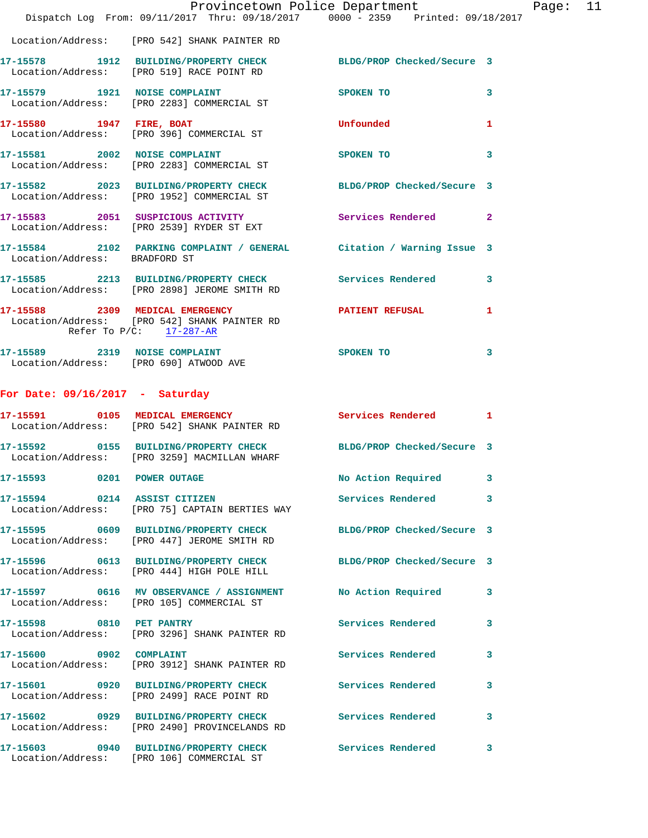|                                                     | Provincetown Police Department<br>Dispatch Log From: 09/11/2017 Thru: 09/18/2017 0000 - 2359 Printed: 09/18/2017      |                            |              |
|-----------------------------------------------------|-----------------------------------------------------------------------------------------------------------------------|----------------------------|--------------|
|                                                     | Location/Address: [PRO 542] SHANK PAINTER RD                                                                          |                            |              |
|                                                     | 17-15578   1912   BUILDING/PROPERTY CHECK   BLDG/PROP Checked/Secure   3<br>Location/Address: [PRO 519] RACE POINT RD |                            |              |
|                                                     | 17-15579 1921 NOISE COMPLAINT<br>Location/Address: [PRO 2283] COMMERCIAL ST                                           | SPOKEN TO                  | 3            |
|                                                     | 17-15580 1947 FIRE, BOAT<br>Location/Address: [PRO 396] COMMERCIAL ST                                                 | Unfounded                  | 1            |
|                                                     | 17-15581 2002 NOISE COMPLAINT<br>Location/Address: [PRO 2283] COMMERCIAL ST                                           | <b>SPOKEN TO</b>           | 3            |
|                                                     | 17-15582 2023 BUILDING/PROPERTY CHECK<br>Location/Address: [PRO 1952] COMMERCIAL ST                                   | BLDG/PROP Checked/Secure 3 |              |
|                                                     | 17-15583 2051 SUSPICIOUS ACTIVITY<br>Location/Address: [PRO 2539] RYDER ST EXT                                        | Services Rendered          | $\mathbf{2}$ |
| Location/Address: BRADFORD ST                       | 17-15584 2102 PARKING COMPLAINT / GENERAL Citation / Warning Issue 3                                                  |                            |              |
|                                                     | 17-15585 2213 BUILDING/PROPERTY CHECK Services Rendered<br>Location/Address: [PRO 2898] JEROME SMITH RD               |                            | 3            |
|                                                     | 17-15588 2309 MEDICAL EMERGENCY<br>Location/Address: [PRO 542] SHANK PAINTER RD<br>Refer To P/C: 17-287-AR            | PATIENT REFUSAL            | 1            |
| Location/Address: [PRO 690] ATWOOD AVE              | 17-15589 2319 NOISE COMPLAINT                                                                                         | SPOKEN TO                  | 3            |
| For Date: $09/16/2017$ - Saturday                   |                                                                                                                       |                            |              |
|                                                     | 17-15591 0105 MEDICAL EMERGENCY<br>Location/Address: [PRO 542] SHANK PAINTER RD                                       | <b>Services Rendered</b>   | 1            |
|                                                     | 17-15592 0155 BUILDING/PROPERTY CHECK BLDG/PROP Checked/Secure 3<br>Location/Address: [PRO 3259] MACMILLAN WHARF      |                            |              |
| 17-15593 0201 POWER OUTAGE                          |                                                                                                                       | No Action Required         | 3            |
| 17-15594 0214 ASSIST CITIZEN                        | Location/Address: [PRO 75] CAPTAIN BERTIES WAY                                                                        | <b>Services Rendered</b>   | 3            |
|                                                     | 17-15595 0609 BUILDING/PROPERTY CHECK<br>Location/Address: [PRO 447] JEROME SMITH RD                                  | BLDG/PROP Checked/Secure 3 |              |
|                                                     | 17-15596 0613 BUILDING/PROPERTY CHECK<br>Location/Address: [PRO 444] HIGH POLE HILL                                   | BLDG/PROP Checked/Secure 3 |              |
|                                                     |                                                                                                                       |                            |              |
|                                                     | 17-15597 0616 MV OBSERVANCE / ASSIGNMENT<br>Location/Address: [PRO 105] COMMERCIAL ST                                 | No Action Required         | 3            |
|                                                     | Location/Address: [PRO 3296] SHANK PAINTER RD                                                                         | Services Rendered          | 3            |
|                                                     | Location/Address: [PRO 3912] SHANK PAINTER RD                                                                         | Services Rendered          | 3            |
|                                                     | 17-15601 0920 BUILDING/PROPERTY CHECK<br>Location/Address: [PRO 2499] RACE POINT RD                                   | <b>Services Rendered</b>   | 3            |
| 17-15598 0810 PET PANTRY<br>17-15600 0902 COMPLAINT | 17-15602 0929 BUILDING/PROPERTY CHECK<br>Location/Address: [PRO 2490] PROVINCELANDS RD                                | Services Rendered          | 3            |

Page: 11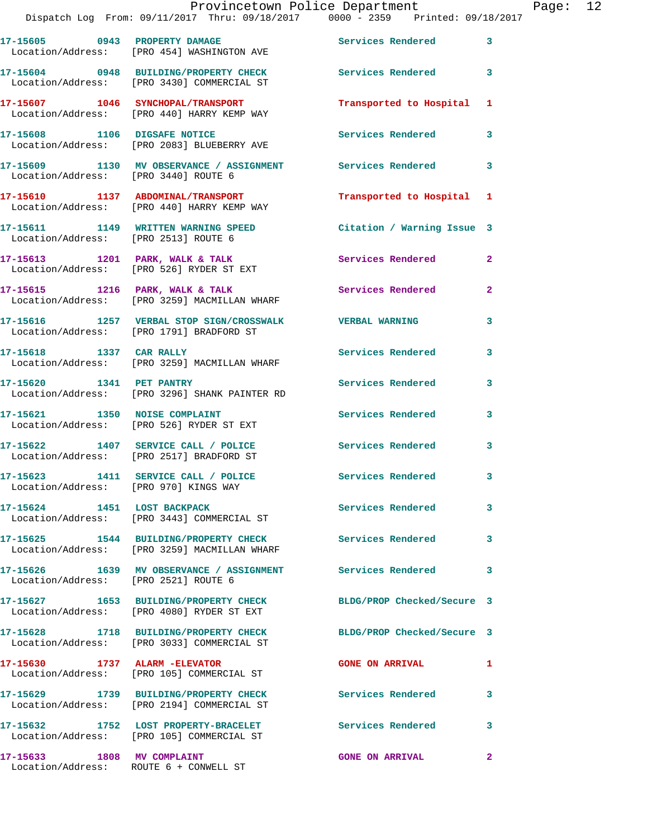| 17-15605 0943 PROPERTY DAMAGE         | Location/Address: [PRO 454] WASHINGTON AVE                                            | <b>Services Rendered</b> 3 |              |
|---------------------------------------|---------------------------------------------------------------------------------------|----------------------------|--------------|
|                                       | 17-15604 0948 BUILDING/PROPERTY CHECK<br>Location/Address: [PRO 3430] COMMERCIAL ST   | <b>Services Rendered</b>   | 3            |
|                                       | 17-15607 1046 SYNCHOPAL/TRANSPORT<br>Location/Address: [PRO 440] HARRY KEMP WAY       | Transported to Hospital    | $\mathbf{1}$ |
|                                       | 17-15608 1106 DIGSAFE NOTICE<br>Location/Address: [PRO 2083] BLUEBERRY AVE            | Services Rendered          | 3            |
| Location/Address: [PRO 3440] ROUTE 6  | 17-15609 1130 MV OBSERVANCE / ASSIGNMENT Services Rendered 3                          |                            |              |
|                                       | 17-15610 1137 ABDOMINAL/TRANSPORT<br>Location/Address: [PRO 440] HARRY KEMP WAY       | Transported to Hospital 1  |              |
| Location/Address: [PRO 2513] ROUTE 6  | 17-15611 1149 WRITTEN WARNING SPEED                                                   | Citation / Warning Issue 3 |              |
|                                       | 17-15613 1201 PARK, WALK & TALK<br>Location/Address: [PRO 526] RYDER ST EXT           | Services Rendered          | $\mathbf{2}$ |
|                                       | 17-15615 1216 PARK, WALK & TALK<br>Location/Address: [PRO 3259] MACMILLAN WHARF       | Services Rendered          | $\mathbf{2}$ |
|                                       | 17-15616 1257 VERBAL STOP SIGN/CROSSWALK<br>Location/Address: [PRO 1791] BRADFORD ST  | <b>VERBAL WARNING</b>      | 3            |
| 17-15618 1337 CAR RALLY               | Location/Address: [PRO 3259] MACMILLAN WHARF                                          | Services Rendered          | 3            |
| 17-15620 1341 PET PANTRY              | Location/Address: [PRO 3296] SHANK PAINTER RD                                         | Services Rendered          | 3            |
|                                       | 17-15621 1350 NOISE COMPLAINT<br>Location/Address: [PRO 526] RYDER ST EXT             | Services Rendered          | 3            |
|                                       | 17-15622 1407 SERVICE CALL / POLICE<br>Location/Address: [PRO 2517] BRADFORD ST       | Services Rendered          | 3            |
| Location/Address: [PRO 970] KINGS WAY | 17-15623 1411 SERVICE CALL / POLICE                                                   | <b>Services Rendered</b>   | 3            |
| 17-15624 1451 LOST BACKPACK           | Location/Address: [PRO 3443] COMMERCIAL ST                                            | <b>Services Rendered</b>   |              |
|                                       | 17-15625 1544 BUILDING/PROPERTY CHECK<br>Location/Address: [PRO 3259] MACMILLAN WHARF | Services Rendered          | 3            |
| Location/Address: [PRO 2521] ROUTE 6  | 17-15626 1639 MV OBSERVANCE / ASSIGNMENT                                              | Services Rendered          | 3            |
|                                       | 17-15627 1653 BUILDING/PROPERTY CHECK<br>Location/Address: [PRO 4080] RYDER ST EXT    | BLDG/PROP Checked/Secure 3 |              |
|                                       | 17-15628 1718 BUILDING/PROPERTY CHECK<br>Location/Address: [PRO 3033] COMMERCIAL ST   | BLDG/PROP Checked/Secure 3 |              |
|                                       | 17-15630 1737 ALARM - ELEVATOR<br>Location/Address: [PRO 105] COMMERCIAL ST           | <b>GONE ON ARRIVAL</b>     | 1            |
|                                       | 17-15629 1739 BUILDING/PROPERTY CHECK<br>Location/Address: [PRO 2194] COMMERCIAL ST   | <b>Services Rendered</b>   | 3            |
|                                       | 17-15632 1752 LOST PROPERTY-BRACELET<br>Location/Address: [PRO 105] COMMERCIAL ST     | <b>Services Rendered</b>   | 3            |
| 17-15633 1808 MV COMPLAINT            | Location/Address: ROUTE 6 + CONWELL ST                                                | <b>GONE ON ARRIVAL</b>     | $\mathbf{2}$ |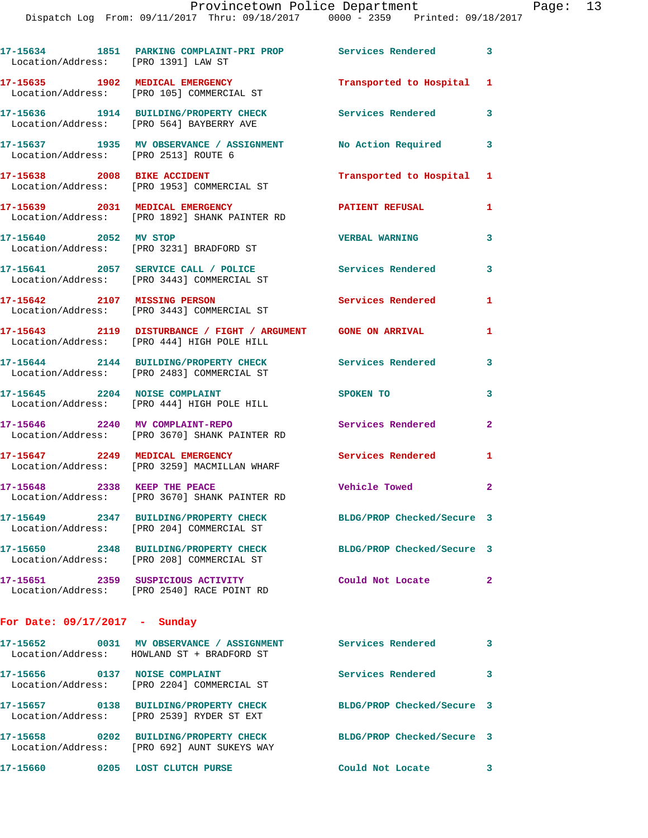|                                 | 17-15634 1851 PARKING COMPLAINT-PRI PROP Services Rendered 3<br>Location/Address: [PRO 1391] LAW ST        |                            |                         |
|---------------------------------|------------------------------------------------------------------------------------------------------------|----------------------------|-------------------------|
|                                 | 17-15635 1902 MEDICAL EMERGENCY<br>Location/Address: [PRO 105] COMMERCIAL ST                               | Transported to Hospital 1  |                         |
|                                 | 17-15636 1914 BUILDING/PROPERTY CHECK<br>Location/Address: [PRO 564] BAYBERRY AVE                          | <b>Services Rendered</b>   | 3                       |
|                                 | 17-15637 1935 MV OBSERVANCE / ASSIGNMENT<br>Location/Address: [PRO 2513] ROUTE 6                           | No Action Required         | 3                       |
|                                 | 17-15638 2008 BIKE ACCIDENT<br>Location/Address: [PRO 1953] COMMERCIAL ST                                  | Transported to Hospital 1  |                         |
|                                 | 17-15639 2031 MEDICAL EMERGENCY<br>Location/Address: [PRO 1892] SHANK PAINTER RD                           | PATIENT REFUSAL            | 1                       |
|                                 | 17-15640 2052 MV STOP<br>Location/Address: [PRO 3231] BRADFORD ST                                          | <b>VERBAL WARNING</b>      | 3                       |
|                                 | 17-15641 2057 SERVICE CALL / POLICE<br>Location/Address: [PRO 3443] COMMERCIAL ST                          | <b>Services Rendered</b>   | 3                       |
|                                 | 17-15642 2107 MISSING PERSON<br>Location/Address: [PRO 3443] COMMERCIAL ST                                 | <b>Services Rendered</b>   | 1                       |
|                                 | 17-15643 2119 DISTURBANCE / FIGHT / ARGUMENT GONE ON ARRIVAL<br>Location/Address: [PRO 444] HIGH POLE HILL |                            | 1                       |
|                                 | 17-15644 2144 BUILDING/PROPERTY CHECK<br>Location/Address: [PRO 2483] COMMERCIAL ST                        | <b>Services Rendered</b>   | 3                       |
| 17-15645 2204 NOISE COMPLAINT   | Location/Address: [PRO 444] HIGH POLE HILL                                                                 | SPOKEN TO                  | 3                       |
|                                 | 17-15646 2240 MV COMPLAINT-REPO<br>Location/Address: [PRO 3670] SHANK PAINTER RD                           | Services Rendered          | $\overline{a}$          |
|                                 | 17-15647 2249 MEDICAL EMERGENCY<br>Location/Address: [PRO 3259] MACMILLAN WHARF                            | <b>Services Rendered</b>   | 1                       |
| 17-15648 2338 KEEP THE PEACE    | Location/Address: [PRO 3670] SHANK PAINTER RD                                                              | Vehicle Towed              | $\overline{a}$          |
|                                 | 17-15649 2347 BUILDING/PROPERTY CHECK<br>Location/Address: [PRO 204] COMMERCIAL ST                         | BLDG/PROP Checked/Secure 3 |                         |
|                                 | 17-15650 2348 BUILDING/PROPERTY CHECK<br>Location/Address: [PRO 208] COMMERCIAL ST                         | BLDG/PROP Checked/Secure 3 |                         |
|                                 | 17-15651 2359 SUSPICIOUS ACTIVITY<br>Location/Address: [PRO 2540] RACE POINT RD                            | Could Not Locate           | $\overline{2}$          |
| For Date: $09/17/2017 -$ Sunday |                                                                                                            |                            |                         |
|                                 | 17-15652 0031 MV OBSERVANCE / ASSIGNMENT Services Rendered 3<br>Location/Address: HOWLAND ST + BRADFORD ST |                            |                         |
|                                 | 17-15656 0137 NOISE COMPLAINT<br>Location/Address: [PRO 2204] COMMERCIAL ST                                | <b>Services Rendered</b>   | 3                       |
|                                 | 17-15657 0138 BUILDING/PROPERTY CHECK<br>Location/Address: [PRO 2539] RYDER ST EXT                         | BLDG/PROP Checked/Secure 3 |                         |
|                                 | 17-15658 0202 BUILDING/PROPERTY CHECK<br>Location/Address: [PRO 692] AUNT SUKEYS WAY                       | BLDG/PROP Checked/Secure 3 |                         |
|                                 | 17-15660 0205 LOST CLUTCH PURSE                                                                            | Could Not Locate           | $\overline{\mathbf{3}}$ |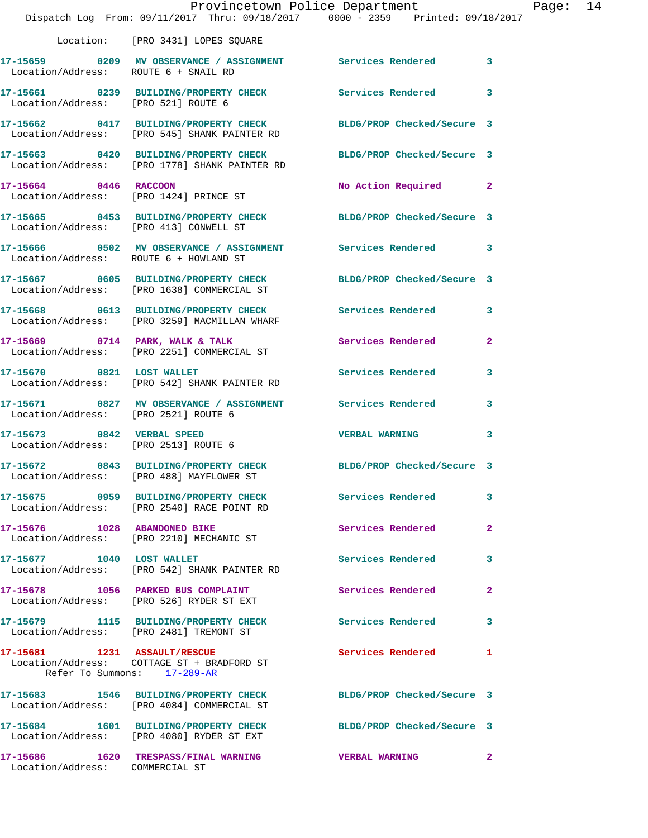|                                                                    | Provincetown Police Department<br>Dispatch Log From: 09/11/2017 Thru: 09/18/2017 0000 - 2359 Printed: 09/18/2017 |                            |              |
|--------------------------------------------------------------------|------------------------------------------------------------------------------------------------------------------|----------------------------|--------------|
|                                                                    | Location: [PRO 3431] LOPES SQUARE                                                                                |                            |              |
| Location/Address: ROUTE 6 + SNAIL RD                               | 17-15659 0209 MV OBSERVANCE / ASSIGNMENT Services Rendered                                                       |                            | 3            |
| Location/Address: [PRO 521] ROUTE 6                                | 17-15661 0239 BUILDING/PROPERTY CHECK Services Rendered                                                          |                            | 3            |
|                                                                    | 17-15662 0417 BUILDING/PROPERTY CHECK<br>Location/Address: [PRO 545] SHANK PAINTER RD                            | BLDG/PROP Checked/Secure 3 |              |
|                                                                    | 17-15663 0420 BUILDING/PROPERTY CHECK<br>Location/Address: [PRO 1778] SHANK PAINTER RD                           | BLDG/PROP Checked/Secure 3 |              |
| 17-15664 0446 RACCOON                                              | Location/Address: [PRO 1424] PRINCE ST                                                                           | No Action Required         | $\mathbf{2}$ |
| Location/Address: [PRO 413] CONWELL ST                             | 17-15665 0453 BUILDING/PROPERTY CHECK BLDG/PROP Checked/Secure 3                                                 |                            |              |
| Location/Address: ROUTE 6 + HOWLAND ST                             | 17-15666 0502 MV OBSERVANCE / ASSIGNMENT Services Rendered                                                       |                            | 3            |
|                                                                    | 17-15667 0605 BUILDING/PROPERTY CHECK<br>Location/Address: [PRO 1638] COMMERCIAL ST                              | BLDG/PROP Checked/Secure 3 |              |
|                                                                    | 17-15668 0613 BUILDING/PROPERTY CHECK Services Rendered<br>Location/Address: [PRO 3259] MACMILLAN WHARF          |                            | 3            |
|                                                                    | 17-15669 0714 PARK, WALK & TALK<br>Location/Address: [PRO 2251] COMMERCIAL ST                                    | Services Rendered          | 2            |
| 17-15670 0821 LOST WALLET                                          | Location/Address: [PRO 542] SHANK PAINTER RD                                                                     | Services Rendered          | 3            |
| Location/Address: [PRO 2521] ROUTE 6                               | 17-15671 0827 MV OBSERVANCE / ASSIGNMENT Services Rendered                                                       |                            | 3            |
| 17-15673 0842 VERBAL SPEED<br>Location/Address: [PRO 2513] ROUTE 6 |                                                                                                                  | <b>VERBAL WARNING</b>      | 3            |
|                                                                    | 17-15672 0843 BUILDING/PROPERTY CHECK BLDG/PROP Checked/Secure 3<br>Location/Address: [PRO 488] MAYFLOWER ST     |                            |              |
|                                                                    | 17-15675 0959 BUILDING/PROPERTY CHECK<br>Location/Address: [PRO 2540] RACE POINT RD                              | Services Rendered          | 3            |
|                                                                    | 17-15676 1028 ABANDONED BIKE<br>Location/Address: [PRO 2210] MECHANIC ST                                         | Services Rendered          | 2            |
| 17-15677 1040 LOST WALLET                                          | Location/Address: [PRO 542] SHANK PAINTER RD                                                                     | Services Rendered          | 3            |
|                                                                    | 17-15678 1056 PARKED BUS COMPLAINT<br>Location/Address: [PRO 526] RYDER ST EXT                                   | Services Rendered          | 2            |
|                                                                    | 17-15679 1115 BUILDING/PROPERTY CHECK<br>Location/Address: [PRO 2481] TREMONT ST                                 | Services Rendered          | 3            |
| Refer To Summons: 17-289-AR                                        | 17-15681 1231 ASSAULT/RESCUE                                                                                     | Services Rendered          | 1            |
|                                                                    | 17-15683 1546 BUILDING/PROPERTY CHECK<br>Location/Address: [PRO 4084] COMMERCIAL ST                              | BLDG/PROP Checked/Secure 3 |              |
|                                                                    | 17-15684 1601 BUILDING/PROPERTY CHECK<br>Location/Address: [PRO 4080] RYDER ST EXT                               | BLDG/PROP Checked/Secure 3 |              |
| Location/Address: COMMERCIAL ST                                    | 17-15686 1620 TRESPASS/FINAL WARNING                                                                             | <b>VERBAL WARNING</b>      | $\mathbf{2}$ |

Page: 14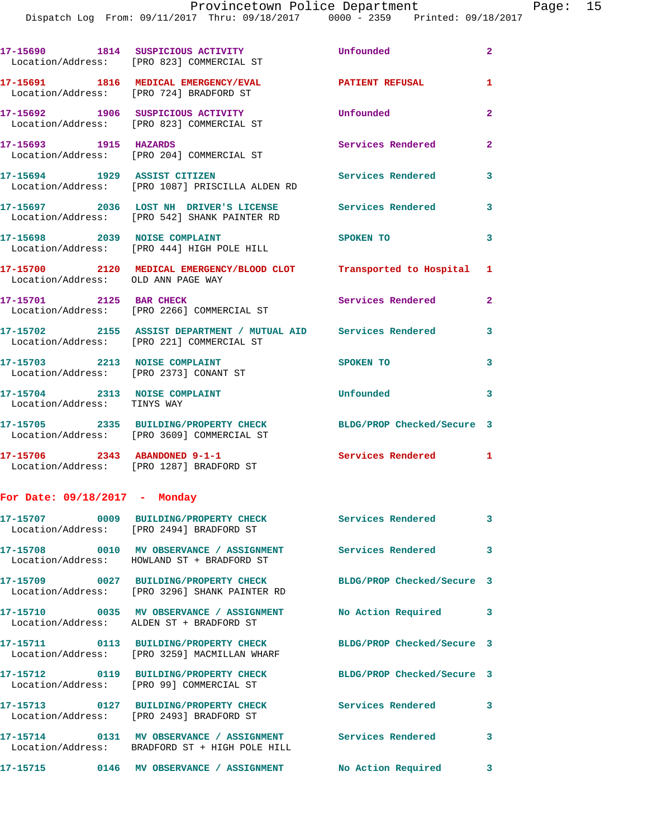|                                                                         | 17-15690 1814 SUSPICIOUS ACTIVITY<br>Location/Address: [PRO 823] COMMERCIAL ST                               | Unfounded                  | $\mathbf{2}$ |
|-------------------------------------------------------------------------|--------------------------------------------------------------------------------------------------------------|----------------------------|--------------|
| Location/Address: [PRO 724] BRADFORD ST                                 | 17-15691 1816 MEDICAL EMERGENCY/EVAL                                                                         | <b>PATIENT REFUSAL</b>     | 1            |
|                                                                         | 17-15692 1906 SUSPICIOUS ACTIVITY<br>Location/Address: [PRO 823] COMMERCIAL ST                               | Unfounded                  | $\mathbf{2}$ |
| 17-15693 1915 HAZARDS                                                   | Location/Address: [PRO 204] COMMERCIAL ST                                                                    | Services Rendered          | $\mathbf{2}$ |
| 17-15694 1929 ASSIST CITIZEN                                            | Location/Address: [PRO 1087] PRISCILLA ALDEN RD                                                              | Services Rendered          | $\mathbf{3}$ |
|                                                                         | 17-15697 2036 LOST NH DRIVER'S LICENSE<br>Location/Address: [PRO 542] SHANK PAINTER RD                       | Services Rendered          | 3            |
| 17-15698 2039 NOISE COMPLAINT                                           | Location/Address: [PRO 444] HIGH POLE HILL                                                                   | SPOKEN TO                  | 3            |
| Location/Address: OLD ANN PAGE WAY                                      | 17-15700 2120 MEDICAL EMERGENCY/BLOOD CLOT Transported to Hospital 1                                         |                            |              |
| 17-15701 2125 BAR CHECK                                                 | Location/Address: [PRO 2266] COMMERCIAL ST                                                                   | Services Rendered          | $\mathbf{2}$ |
|                                                                         | 17-15702 2155 ASSIST DEPARTMENT / MUTUAL AID Services Rendered<br>Location/Address: [PRO 221] COMMERCIAL ST  |                            | 3            |
| 17-15703 2213 NOISE COMPLAINT<br>Location/Address: [PRO 2373] CONANT ST |                                                                                                              | SPOKEN TO                  | 3            |
| 17-15704 2313 NOISE COMPLAINT<br>Location/Address: TINYS WAY            |                                                                                                              | Unfounded                  | 3            |
|                                                                         | 17-15705 2335 BUILDING/PROPERTY CHECK<br>Location/Address: [PRO 3609] COMMERCIAL ST                          | BLDG/PROP Checked/Secure 3 |              |
|                                                                         | 17-15706 2343 ABANDONED 9-1-1<br>Location/Address: [PRO 1287] BRADFORD ST                                    | Services Rendered 1        |              |
| For Date: 09/18/2017 - Monday                                           |                                                                                                              |                            |              |
|                                                                         | 17-15707 0009 BUILDING/PROPERTY CHECK<br>Location/Address: [PRO 2494] BRADFORD ST                            | Services Rendered          | 3            |
|                                                                         | 17-15708 0010 MV OBSERVANCE / ASSIGNMENT Services Rendered 3<br>Location/Address: HOWLAND ST + BRADFORD ST   |                            |              |
|                                                                         | 17-15709 0027 BUILDING/PROPERTY CHECK<br>Location/Address: [PRO 3296] SHANK PAINTER RD                       | BLDG/PROP Checked/Secure 3 |              |
|                                                                         | 17-15710 0035 MV OBSERVANCE / ASSIGNMENT No Action Required 3<br>Location/Address: ALDEN ST + BRADFORD ST    |                            |              |
|                                                                         | Location/Address: [PRO 3259] MACMILLAN WHARF                                                                 | BLDG/PROP Checked/Secure 3 |              |
|                                                                         | 17-15712 0119 BUILDING/PROPERTY CHECK<br>Location/Address: [PRO 99] COMMERCIAL ST                            | BLDG/PROP Checked/Secure 3 |              |
|                                                                         | 17-15713 0127 BUILDING/PROPERTY CHECK<br>Location/Address: [PRO 2493] BRADFORD ST                            | <b>Services Rendered</b>   | 3            |
|                                                                         | 17-15714 0131 MV OBSERVANCE / ASSIGNMENT Services Rendered<br>Location/Address: BRADFORD ST + HIGH POLE HILL |                            | 3            |
|                                                                         |                                                                                                              | <b>No Action Required</b>  | 3            |